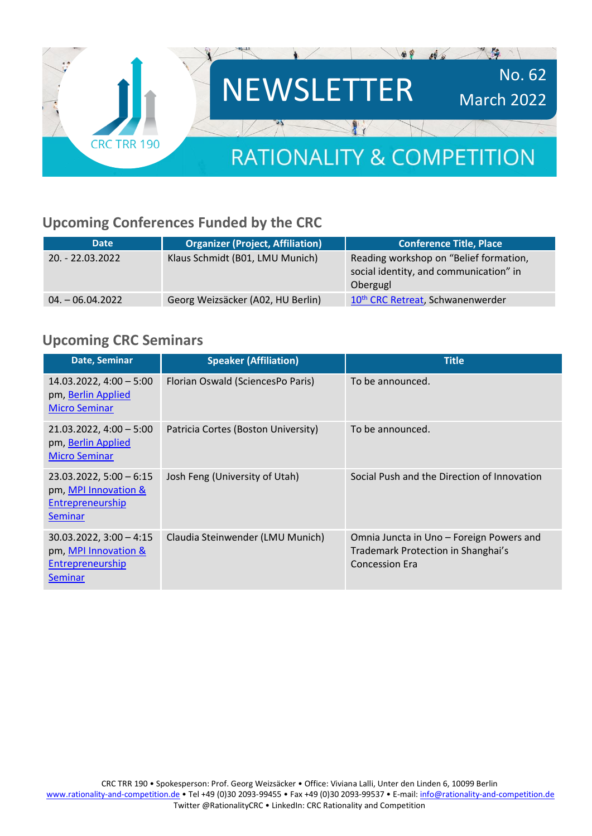

# **Upcoming Conferences Funded by the CRC**

| <b>Date</b>        | <b>Organizer (Project, Affiliation)</b> | <b>Conference Title, Place</b>                                                               |
|--------------------|-----------------------------------------|----------------------------------------------------------------------------------------------|
| $20. - 22.03.2022$ | Klaus Schmidt (B01, LMU Munich)         | Reading workshop on "Belief formation,<br>social identity, and communication" in<br>Obergugl |
| $04. - 06.04.2022$ | Georg Weizsäcker (A02, HU Berlin)       | 10 <sup>th</sup> CRC Retreat, Schwanenwerder                                                 |

#### **Upcoming CRC Seminars**

| Date, Seminar                                                                           | <b>Speaker (Affiliation)</b>        | <b>Title</b>                                                                                            |
|-----------------------------------------------------------------------------------------|-------------------------------------|---------------------------------------------------------------------------------------------------------|
| $14.03.2022, 4:00-5:00$<br>pm, Berlin Applied<br><b>Micro Seminar</b>                   | Florian Oswald (SciencesPo Paris)   | To be announced.                                                                                        |
| $21.03.2022, 4:00 - 5:00$<br>pm, Berlin Applied<br><b>Micro Seminar</b>                 | Patricia Cortes (Boston University) | To be announced.                                                                                        |
| $23.03.2022, 5:00 - 6:15$<br>pm, MPI Innovation &<br>Entrepreneurship<br><b>Seminar</b> | Josh Feng (University of Utah)      | Social Push and the Direction of Innovation                                                             |
| $30.03.2022, 3:00 - 4:15$<br>pm, MPI Innovation &<br>Entrepreneurship<br><b>Seminar</b> | Claudia Steinwender (LMU Munich)    | Omnia Juncta in Uno – Foreign Powers and<br>Trademark Protection in Shanghai's<br><b>Concession Era</b> |